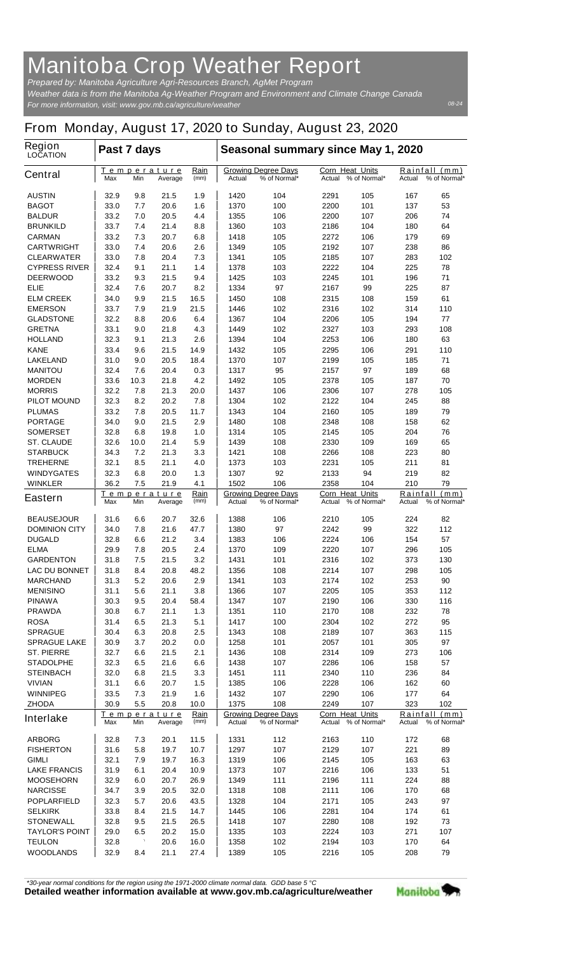## **Manitoba Crop Weather Report**

*For more information, visit: www.gov.mb.ca/agriculture/weather Prepared by: Manitoba Agriculture Agri-Resources Branch, AgMet Program Weather data is from the Manitoba Ag-Weather Program and Environment and Climate Change Canada*

## **From Monday, August 17, 2020 to Sunday, August 23, 2020**

| <b>Region</b><br><b>LOCATION</b>          | Past 7 days                                                 |            |                                                      |                                                      | Seasonal summary since May 1, 2020            |                                            |                                         |                                            |            |                               |  |
|-------------------------------------------|-------------------------------------------------------------|------------|------------------------------------------------------|------------------------------------------------------|-----------------------------------------------|--------------------------------------------|-----------------------------------------|--------------------------------------------|------------|-------------------------------|--|
| <b>Central</b>                            | Max                                                         | Min        | Temperature<br>Average                               | <u>Rain</u><br>(mm)                                  | Actual                                        | <b>Growing Degree Days</b><br>% of Normal* | <b>Corn Heat Units</b>                  | Actual % of Normal*                        | Actual     | Rainfall (mm)<br>% of Normal* |  |
| <b>AUSTIN</b>                             | 32.9                                                        | 9.8        | 21.5                                                 | 1.9                                                  | 1420                                          | 104                                        | 2291                                    | 105                                        | 167        | 65                            |  |
| <b>BAGOT</b>                              | 33.0                                                        | 7.7        | 20.6                                                 | 1.6                                                  | 1370                                          | 100                                        | 2200                                    | 101                                        | 137        | 53                            |  |
| <b>BALDUR</b>                             | 33.2                                                        | 7.0        | 20.5                                                 | 4.4                                                  | 1355                                          | 106                                        | 2200                                    | 107                                        | 206        | 74                            |  |
| <b>BRUNKILD</b>                           | 33.7                                                        | 7.4        | 21.4                                                 | 8.8                                                  | 1360                                          | 103                                        | 2186                                    | 104                                        | 180        | 64                            |  |
| <b>CARMAN</b>                             | 33.2                                                        | 7.3        | 20.7                                                 | 6.8                                                  | 1418                                          | 105                                        | 2272                                    | 106                                        | 179        | 69                            |  |
| <b>CARTWRIGHT</b>                         | 33.0                                                        | 7.4        | 20.6                                                 | 2.6                                                  | 1349                                          | 105                                        | 2192                                    | 107                                        | 238        | 86                            |  |
| <b>CLEARWATER</b><br><b>CYPRESS RIVER</b> | 33.0<br>32.4                                                | 7.8<br>9.1 | 20.4<br>21.1                                         | 7.3<br>1.4                                           | 1341<br>1378                                  | 105<br>103                                 | 2185<br>2222                            | 107<br>104                                 | 283<br>225 | 102<br>78                     |  |
| <b>DEERWOOD</b>                           | 33.2                                                        | 9.3        | 21.5                                                 | 9.4                                                  | 1425                                          | 103                                        | 2245                                    | 101                                        | 196        | 71                            |  |
| <b>ELIE</b>                               | 32.4                                                        | 7.6        | 20.7                                                 | 8.2                                                  | 1334                                          | 97                                         | 2167                                    | 99                                         | 225        | 87                            |  |
| <b>ELM CREEK</b>                          | 34.0                                                        | 9.9        | 21.5                                                 | 16.5                                                 | 1450                                          | 108                                        | 2315                                    | 108                                        | 159        | 61                            |  |
| <b>EMERSON</b>                            | 33.7                                                        | 7.9        | 21.9                                                 | 21.5                                                 | 1446                                          | 102                                        | 2316                                    | 102                                        | 314        | 110                           |  |
| <b>GLADSTONE</b>                          | 32.2                                                        | 8.8        | 20.6                                                 | 6.4                                                  | 1367                                          | 104                                        | 2206                                    | 105                                        | 194        | 77                            |  |
| <b>GRETNA</b>                             | 33.1                                                        | 9.0        | 21.8                                                 | 4.3                                                  | 1449                                          | 102                                        | 2327                                    | 103                                        | 293        | 108                           |  |
| <b>HOLLAND</b>                            | 32.3                                                        | 9.1        | 21.3                                                 | 2.6                                                  | 1394                                          | 104                                        | 2253                                    | 106                                        | 180        | 63                            |  |
| <b>KANE</b>                               | 33.4                                                        | 9.6        | 21.5                                                 | 14.9                                                 | 1432                                          | 105                                        | 2295                                    | 106                                        | 291        | 110                           |  |
| <b>LAKELAND</b>                           | 31.0                                                        | 9.0        | 20.5                                                 | 18.4                                                 | 1370                                          | 107                                        | 2199                                    | 105                                        | 185        | 71                            |  |
| <b>MANITOU</b>                            | 32.4                                                        | 7.6        | 20.4                                                 | 0.3                                                  | 1317                                          | 95                                         | 2157                                    | 97                                         | 189        | 68                            |  |
| <b>MORDEN</b>                             | 33.6                                                        | 10.3       | 21.8                                                 | 4.2                                                  | 1492                                          | 105                                        | 2378                                    | 105                                        | 187        | 70                            |  |
| <b>MORRIS</b>                             | 32.2                                                        | 7.8        | 21.3                                                 | 20.0                                                 | 1437                                          | 106                                        | 2306                                    | 107                                        | 278        | 105                           |  |
| <b>PILOT MOUND</b>                        | 32.3                                                        | 8.2        | 20.2                                                 | 7.8                                                  | 1304                                          | 102                                        | 2122                                    | 104                                        | 245        | 88                            |  |
| <b>PLUMAS</b>                             | 33.2                                                        | 7.8<br>9.0 | 20.5                                                 | 11.7<br>2.9                                          | 1343<br>1480                                  | 104                                        | 2160                                    | 105                                        | 189<br>158 | 79<br>62                      |  |
| <b>PORTAGE</b><br><b>SOMERSET</b>         | 34.0<br>32.8                                                | 6.8        | 21.5<br>19.8                                         | 1.0                                                  | 1314                                          | 108<br>105                                 | 2348<br>2145                            | 108<br>105                                 | 204        | 76                            |  |
| <b>ST. CLAUDE</b>                         | 32.6                                                        | 10.0       | 21.4                                                 | 5.9                                                  | 1439                                          | 108                                        | 2330                                    | 109                                        | 169        | 65                            |  |
| <b>STARBUCK</b>                           | 34.3                                                        | 7.2        | 21.3                                                 | 3.3                                                  | 1421                                          | 108                                        | 2266                                    | 108                                        | 223        | 80                            |  |
| <b>TREHERNE</b>                           | 32.1                                                        | 8.5        | 21.1                                                 | 4.0                                                  | 1373                                          | 103                                        | 2231                                    | 105                                        | 211        | 81                            |  |
| <b>WINDYGATES</b>                         | 32.3                                                        | 6.8        | 20.0                                                 | 1.3                                                  | 1307                                          | 92                                         | 2133                                    | 94                                         | 219        | 82                            |  |
| <b>WINKLER</b>                            | 36.2                                                        | 7.5        | 21.9                                                 | 4.1                                                  | 1502                                          | 106                                        | 2358                                    | 104                                        | 210        | 79                            |  |
| <b>Eastern</b>                            | Temperature<br>Min<br>Max<br>Average                        |            | Rain<br>(mm)                                         | <b>Growing Degree Days</b><br>% of Normal*<br>Actual |                                               | Corn Heat Units<br>% of Normal*<br>Actual  |                                         | Rainfall<br>(mm)<br>% of Normal*<br>Actual |            |                               |  |
| <b>BEAUSEJOUR</b>                         | 31.6                                                        | 6.6        | 20.7                                                 | 32.6                                                 | 1388                                          | 106                                        | 2210                                    | 105                                        | 224        | 82                            |  |
| <b>DOMINION CITY</b>                      | 34.0                                                        | 7.8        | 21.6                                                 | 47.7                                                 | 1380                                          | 97                                         | 2242                                    | 99                                         | 322        | 112                           |  |
| <b>DUGALD</b>                             | 32.8                                                        | 6.6        | 21.2                                                 | 3.4                                                  | 1383                                          | 106                                        | 2224                                    | 106                                        | 154        | 57                            |  |
| <b>ELMA</b>                               | 29.9                                                        | 7.8        | 20.5                                                 | 2.4                                                  | 1370                                          | 109                                        | 2220                                    | 107                                        | 296        | 105                           |  |
| <b>GARDENTON</b>                          | 31.8                                                        | 7.5        | 21.5                                                 | 3.2                                                  | 1431                                          | 101                                        | 2316                                    | 102                                        | 373        | 130                           |  |
| <b>LAC DU BONNET</b>                      | 31.8                                                        | 8.4        | 20.8                                                 | 48.2                                                 | 1356                                          | 108                                        | 2214                                    | 107                                        | 298        | 105                           |  |
| <b>MARCHAND</b>                           | 31.3                                                        | 5.2        | 20.6                                                 | 2.9                                                  | 1341                                          | 103                                        | 2174                                    | 102                                        | 253        | 90                            |  |
| <b>MENISINO</b>                           | 31.1                                                        | 5.6        | 21.1<br>20.4                                         | 3.8                                                  | 1366<br>1347                                  | 107                                        | 2205<br>2190                            | 105<br>106                                 | 353        | 112                           |  |
| <b>PINAWA</b><br><b>PRAWDA</b>            | 30.3<br>30.8                                                | 9.5<br>6.7 | 21.1                                                 | 58.4<br>1.3                                          | 1351                                          | 107<br>110                                 | 2170                                    | 108                                        | 330<br>232 | 116<br>78                     |  |
| <b>ROSA</b>                               | 31.4                                                        | 6.5        | 21.3                                                 | 5.1                                                  | 1417                                          | 100                                        | 2304                                    | 102                                        | 272        | 95                            |  |
| <b>SPRAGUE</b>                            | 30.4                                                        | 6.3        | 20.8                                                 | 2.5                                                  | 1343                                          | 108                                        | 2189                                    | 107                                        | 363        | 115                           |  |
| <b>SPRAGUE LAKE</b>                       | 30.9                                                        | 3.7        | 20.2                                                 | 0.0                                                  | 1258                                          | 101                                        | 2057                                    | 101                                        | 305        | 97                            |  |
| <b>ST. PIERRE</b>                         | 32.7                                                        | 6.6        | 21.5                                                 | 2.1                                                  | 1436                                          | 108                                        | 2314                                    | 109                                        | 273        | 106                           |  |
| <b>STADOLPHE</b>                          | 32.3                                                        | 6.5        | 21.6                                                 | 6.6                                                  | 1438                                          | 107                                        | 2286                                    | 106                                        | 158        | 57                            |  |
| <b>STEINBACH</b>                          | 32.0                                                        | 6.8        | 21.5                                                 | 3.3                                                  | 1451                                          | 111                                        | 2340                                    | 110                                        | 236        | 84                            |  |
| <b>VIVIAN</b>                             | 31.1                                                        | 6.6        | 20.7                                                 | 1.5                                                  | 1385                                          | 106                                        | 2228                                    | 106                                        | 162        | 60                            |  |
| <b>WINNIPEG</b>                           | 33.5                                                        | 7.3        | 21.9                                                 | 1.6                                                  | 1432                                          | 107                                        | 2290                                    | 106                                        | 177        | 64                            |  |
| <b>ZHODA</b>                              | 30.9                                                        | 5.5        | 20.8                                                 | 10.0                                                 | 1375                                          | 108                                        | 2249                                    | 107                                        | 323        | 102                           |  |
| <b>Interlake</b>                          | Rain<br><u>Temperature</u><br>(mm)<br>Min<br>Average<br>Max |            | <b>Growing Degree Days</b><br>% of Normal*<br>Actual |                                                      | <b>Corn Heat Units</b><br>Actual % of Normal* |                                            | Rainfall (mm)<br>% of Normal*<br>Actual |                                            |            |                               |  |
| <b>ARBORG</b>                             | 32.8                                                        | 7.3        | 20.1                                                 | 11.5                                                 | 1331                                          | 112                                        | 2163                                    | 110                                        | 172        | 68                            |  |
| <b>FISHERTON</b>                          | 31.6                                                        | 5.8        | 19.7                                                 | 10.7                                                 | 1297                                          | 107                                        | 2129                                    | 107                                        | 221        | 89                            |  |
| <b>GIMLI</b>                              | 32.1                                                        | 7.9        | 19.7                                                 | 16.3                                                 | 1319                                          | 106                                        | 2145                                    | 105                                        | 163        | 63                            |  |
| <b>LAKE FRANCIS</b>                       | 31.9                                                        | 6.1        | 20.4                                                 | 10.9                                                 | 1373                                          | 107                                        | 2216                                    | 106                                        | 133        | 51                            |  |
| <b>MOOSEHORN</b>                          | 32.9                                                        | 6.0        | 20.7                                                 | 26.9                                                 | 1349                                          | 111                                        | 2196                                    | 111                                        | 224        | 88                            |  |
| <b>NARCISSE</b>                           | 34.7                                                        | 3.9        | 20.5                                                 | 32.0                                                 | 1318                                          | 108                                        | 2111                                    | 106                                        | 170        | 68                            |  |
| <b>POPLARFIELD</b>                        | 32.3                                                        | 5.7        | 20.6                                                 | 43.5                                                 | 1328                                          | 104                                        | 2171                                    | 105                                        | 243        | 97                            |  |
| <b>SELKIRK</b>                            | 33.8                                                        | 8.4        | 21.5                                                 | 14.7                                                 | 1445                                          | 106                                        | 2281                                    | 104                                        | 174        | 61                            |  |
| <b>STONEWALL</b>                          | 32.8                                                        | 9.5        | 21.5                                                 | 26.5                                                 | 1418                                          | 107                                        | 2280                                    | 108                                        | 192        | 73                            |  |
| <b>TAYLOR'S POINT</b>                     | 29.0                                                        | 6.5        | 20.2                                                 | 15.0                                                 | 1335                                          | 103                                        | 2224                                    | 103                                        | 271        | 107                           |  |
| <b>TEULON</b>                             | 32.8                                                        |            | 20.6                                                 | 16.0                                                 | 1358                                          | 102                                        | 2194                                    | 103                                        | 170        | 64                            |  |
| <b>WOODLANDS</b>                          | 32.9                                                        | 8.4        | 21.1                                                 | 27.4                                                 | 1389                                          | 105                                        | 2216                                    | 105                                        | 208        | 79                            |  |

*\*30-year normal conditions for the region using the 1971-2000 climate normal data. GDD base 5 °C*<br>Detailed weather information available at www.gov.mb.ca/agriculture/weather